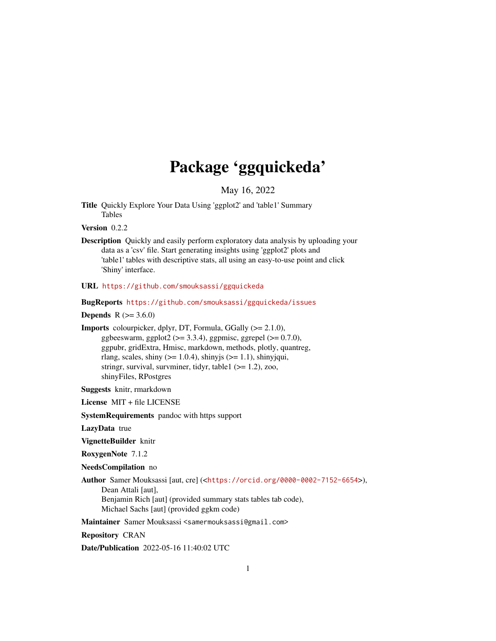# Package 'ggquickeda'

May 16, 2022

<span id="page-0-0"></span>Title Quickly Explore Your Data Using 'ggplot2' and 'table1' Summary Tables

Version 0.2.2

Description Quickly and easily perform exploratory data analysis by uploading your data as a 'csv' file. Start generating insights using 'ggplot2' plots and 'table1' tables with descriptive stats, all using an easy-to-use point and click 'Shiny' interface.

URL <https://github.com/smouksassi/ggquickeda>

BugReports <https://github.com/smouksassi/ggquickeda/issues>

**Depends** R  $(>= 3.6.0)$ 

Imports colourpicker, dplyr, DT, Formula, GGally (>= 2.1.0), ggbeeswarm, ggplot2 ( $>= 3.3.4$ ), ggpmisc, ggrepel ( $>= 0.7.0$ ), ggpubr, gridExtra, Hmisc, markdown, methods, plotly, quantreg, rlang, scales, shiny  $(>= 1.0.4)$ , shinyjs  $(>= 1.1)$ , shinyjqui, stringr, survival, survminer, tidyr, table  $(>= 1.2)$ , zoo, shinyFiles, RPostgres

Suggests knitr, rmarkdown

License MIT + file LICENSE

SystemRequirements pandoc with https support

LazyData true

VignetteBuilder knitr

RoxygenNote 7.1.2

NeedsCompilation no

Author Samer Mouksassi [aut, cre] (<<https://orcid.org/0000-0002-7152-6654>>), Dean Attali [aut], Benjamin Rich [aut] (provided summary stats tables tab code), Michael Sachs [aut] (provided ggkm code)

Maintainer Samer Mouksassi <samermouksassi@gmail.com>

Repository CRAN

Date/Publication 2022-05-16 11:40:02 UTC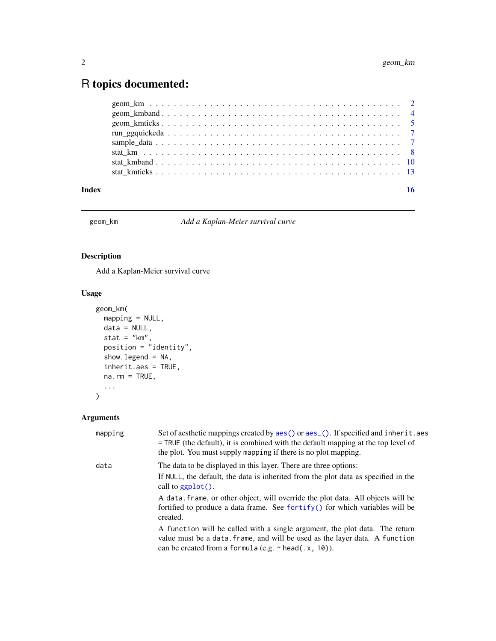## <span id="page-1-0"></span>R topics documented:

| Index | 16 |
|-------|----|
|       |    |
|       |    |
|       |    |
|       |    |
|       |    |
|       |    |
|       |    |
|       |    |

#### geom\_km *Add a Kaplan-Meier survival curve*

#### Description

Add a Kaplan-Meier survival curve

### Usage

```
geom_km(
 mapping = NULL,
 data = NULL,
  stat = "km",
  position = "identity",
 show.legend = NA,
 inherit.aes = TRUE,
 na.rm = TRUE,...
\mathcal{L}
```

| mapping | Set of aesthetic mappings created by aes () or aes (). If specified and inherit. aes<br>$=$ TRUE (the default), it is combined with the default mapping at the top level of<br>the plot. You must supply mapping if there is no plot mapping. |
|---------|-----------------------------------------------------------------------------------------------------------------------------------------------------------------------------------------------------------------------------------------------|
| data    | The data to be displayed in this layer. There are three options:                                                                                                                                                                              |
|         | If NULL, the default, the data is inherited from the plot data as specified in the<br>call to $ggplot()$ .                                                                                                                                    |
|         | A data, frame, or other object, will override the plot data. All objects will be<br>fortified to produce a data frame. See fortify() for which variables will be<br>created.                                                                  |
|         | A function will be called with a single argument, the plot data. The return<br>value must be a data. frame, and will be used as the layer data. A function<br>can be created from a formula (e.g. $\sim$ head(.x, 10)).                       |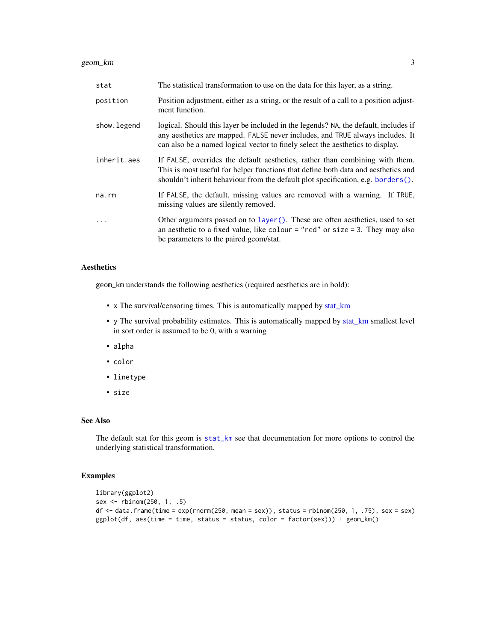#### <span id="page-2-0"></span>geom\_km 3

| stat        | The statistical transformation to use on the data for this layer, as a string.                                                                                                                                                                            |
|-------------|-----------------------------------------------------------------------------------------------------------------------------------------------------------------------------------------------------------------------------------------------------------|
| position    | Position adjustment, either as a string, or the result of a call to a position adjust-<br>ment function.                                                                                                                                                  |
| show.legend | logical. Should this layer be included in the legends? NA, the default, includes if<br>any aesthetics are mapped. FALSE never includes, and TRUE always includes. It<br>can also be a named logical vector to finely select the aesthetics to display.    |
| inherit.aes | If FALSE, overrides the default aesthetics, rather than combining with them.<br>This is most useful for helper functions that define both data and aesthetics and<br>shouldn't inherit behaviour from the default plot specification, e.g. borders $()$ . |
| na.rm       | If FALSE, the default, missing values are removed with a warning. If TRUE,<br>missing values are silently removed.                                                                                                                                        |
| .           | Other arguments passed on to layer(). These are often aesthetics, used to set<br>an aesthetic to a fixed value, like colour = "red" or size = 3. They may also<br>be parameters to the paired geom/stat.                                                  |

#### Aesthetics

geom\_km understands the following aesthetics (required aesthetics are in bold):

- x The survival/censoring times. This is automatically mapped by [stat\\_km](#page-7-1)
- y The survival probability estimates. This is automatically mapped by [stat\\_km](#page-7-1) smallest level in sort order is assumed to be 0, with a warning
- alpha
- color
- linetype
- size

#### See Also

The default stat for this geom is [stat\\_km](#page-7-1) see that documentation for more options to control the underlying statistical transformation.

#### Examples

```
library(ggplot2)
sex <- rbinom(250, 1, .5)
df <- data.frame(time = exp(rnorm(250, mean = sex)), status = rbinom(250, 1, .75), sex = sex)
ggplot(df, aes(time = time, status = status, color = factor(sex))) + geom_km()
```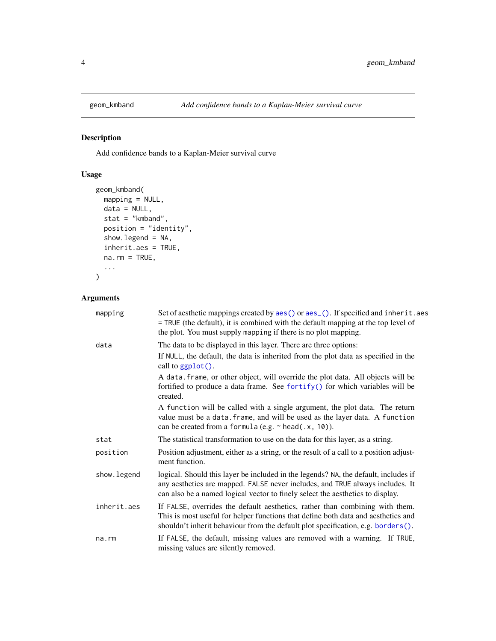<span id="page-3-0"></span>

### Description

Add confidence bands to a Kaplan-Meier survival curve

### Usage

```
geom_kmband(
  mapping = NULL,
  data = NULL,
  stat = "kmband",
  position = "identity",
  show.legend = NA,
  inherit.aes = TRUE,
  na.rm = TRUE,...
\mathcal{L}
```

| mapping      | Set of aesthetic mappings created by aes() or aes_(). If specified and inherit.aes<br>= TRUE (the default), it is combined with the default mapping at the top level of<br>the plot. You must supply mapping if there is no plot mapping.              |
|--------------|--------------------------------------------------------------------------------------------------------------------------------------------------------------------------------------------------------------------------------------------------------|
| data         | The data to be displayed in this layer. There are three options:                                                                                                                                                                                       |
|              | If NULL, the default, the data is inherited from the plot data as specified in the<br>call to $ggplot()$ .                                                                                                                                             |
|              | A data. frame, or other object, will override the plot data. All objects will be<br>fortified to produce a data frame. See fortify() for which variables will be<br>created.                                                                           |
|              | A function will be called with a single argument, the plot data. The return<br>value must be a data. frame, and will be used as the layer data. A function<br>can be created from a formula (e.g. $\sim$ head(.x, 10)).                                |
| stat         | The statistical transformation to use on the data for this layer, as a string.                                                                                                                                                                         |
| position     | Position adjustment, either as a string, or the result of a call to a position adjust-<br>ment function.                                                                                                                                               |
| show. legend | logical. Should this layer be included in the legends? NA, the default, includes if<br>any aesthetics are mapped. FALSE never includes, and TRUE always includes. It<br>can also be a named logical vector to finely select the aesthetics to display. |
| inherit.aes  | If FALSE, overrides the default aesthetics, rather than combining with them.<br>This is most useful for helper functions that define both data and aesthetics and<br>shouldn't inherit behaviour from the default plot specification, e.g. borders().  |
| na.rm        | If FALSE, the default, missing values are removed with a warning. If TRUE,<br>missing values are silently removed.                                                                                                                                     |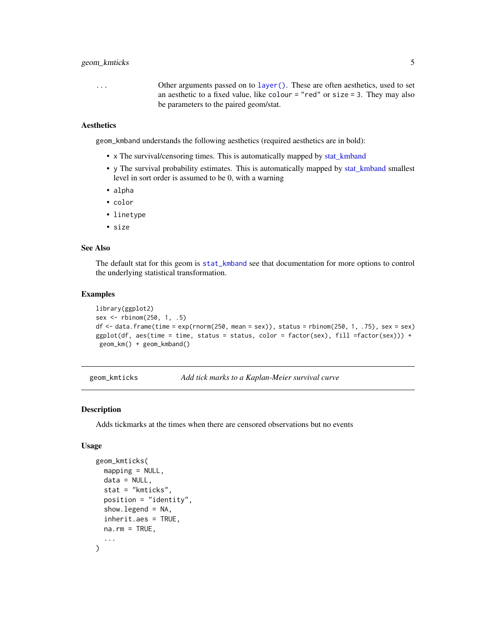#### <span id="page-4-0"></span>geom\_kmticks 5

... Other arguments passed on to [layer\(\)](#page-0-0). These are often aesthetics, used to set an aesthetic to a fixed value, like colour  $=$  "red" or size  $=$  3. They may also be parameters to the paired geom/stat.

#### **Aesthetics**

geom\_kmband understands the following aesthetics (required aesthetics are in bold):

- x The survival/censoring times. This is automatically mapped by [stat\\_kmband](#page-9-1)
- y The survival probability estimates. This is automatically mapped by [stat\\_kmband](#page-9-1) smallest level in sort order is assumed to be 0, with a warning
- alpha
- color
- linetype
- size

#### See Also

The default stat for this geom is [stat\\_kmband](#page-9-1) see that documentation for more options to control the underlying statistical transformation.

#### Examples

```
library(ggplot2)
sex <- rbinom(250, 1, .5)
df \le - data.frame(time = exp(rnorm(250, mean = sex)), status = rbinom(250, 1, .75), sex = sex)
ggplot(df, aes(time = time, status = status, color = factor(sex), fill = factor(sex))) +geom_km() + geom_kmband()
```
geom\_kmticks *Add tick marks to a Kaplan-Meier survival curve*

#### Description

Adds tickmarks at the times when there are censored observations but no events

#### Usage

```
geom_kmticks(
  mapping = NULL,
  data = NULL,stat = "kmticks",
  position = "identity",
  show.legend = NA,
  inherit.aes = TRUE,
 na.rm = TRUE,...
)
```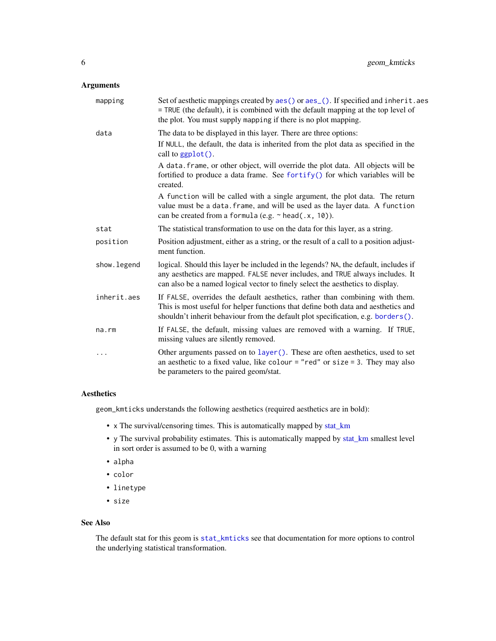#### <span id="page-5-0"></span>Arguments

| mapping      | Set of aesthetic mappings created by aes () or aes (). If specified and inherit. aes<br>= TRUE (the default), it is combined with the default mapping at the top level of<br>the plot. You must supply mapping if there is no plot mapping.            |
|--------------|--------------------------------------------------------------------------------------------------------------------------------------------------------------------------------------------------------------------------------------------------------|
| data         | The data to be displayed in this layer. There are three options:                                                                                                                                                                                       |
|              | If NULL, the default, the data is inherited from the plot data as specified in the<br>call to ggplot().                                                                                                                                                |
|              | A data. frame, or other object, will override the plot data. All objects will be<br>fortified to produce a data frame. See fortify() for which variables will be<br>created.                                                                           |
|              | A function will be called with a single argument, the plot data. The return<br>value must be a data. frame, and will be used as the layer data. A function<br>can be created from a formula (e.g. $\sim$ head(.x, 10)).                                |
| stat         | The statistical transformation to use on the data for this layer, as a string.                                                                                                                                                                         |
| position     | Position adjustment, either as a string, or the result of a call to a position adjust-<br>ment function.                                                                                                                                               |
| show. legend | logical. Should this layer be included in the legends? NA, the default, includes if<br>any aesthetics are mapped. FALSE never includes, and TRUE always includes. It<br>can also be a named logical vector to finely select the aesthetics to display. |
| inherit.aes  | If FALSE, overrides the default aesthetics, rather than combining with them.<br>This is most useful for helper functions that define both data and aesthetics and<br>shouldn't inherit behaviour from the default plot specification, e.g. borders().  |
| na.rm        | If FALSE, the default, missing values are removed with a warning. If TRUE,<br>missing values are silently removed.                                                                                                                                     |
| $\cdots$     | Other arguments passed on to layer (). These are often aesthetics, used to set<br>an aesthetic to a fixed value, like colour = "red" or size = 3. They may also<br>be parameters to the paired geom/stat.                                              |

#### Aesthetics

geom\_kmticks understands the following aesthetics (required aesthetics are in bold):

- x The survival/censoring times. This is automatically mapped by [stat\\_km](#page-7-1)
- y The survival probability estimates. This is automatically mapped by [stat\\_km](#page-7-1) smallest level in sort order is assumed to be 0, with a warning
- alpha
- color
- linetype
- size

#### See Also

The default stat for this geom is [stat\\_kmticks](#page-12-1) see that documentation for more options to control the underlying statistical transformation.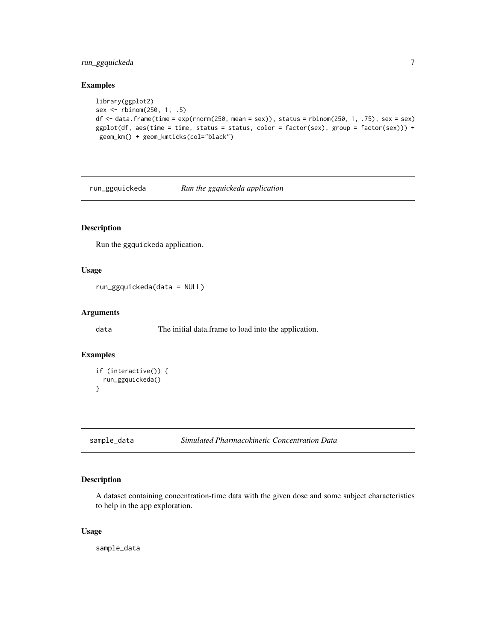#### <span id="page-6-0"></span>run\_ggquickeda 7

#### Examples

```
library(ggplot2)
sex <- rbinom(250, 1, .5)
df <- data.frame(time = exp(rnorm(250, mean = sex)), status = rbinom(250, 1, .75), sex = sex)
ggplot(df, aes(time = time, status = status, color = factor(sex), group = factor(sex))) +geom_km() + geom_kmticks(col="black")
```
run\_ggquickeda *Run the ggquickeda application*

#### Description

Run the ggquickeda application.

#### Usage

```
run_ggquickeda(data = NULL)
```
#### Arguments

data The initial data.frame to load into the application.

#### Examples

```
if (interactive()) {
 run_ggquickeda()
}
```
sample\_data *Simulated Pharmacokinetic Concentration Data*

#### Description

A dataset containing concentration-time data with the given dose and some subject characteristics to help in the app exploration.

#### Usage

sample\_data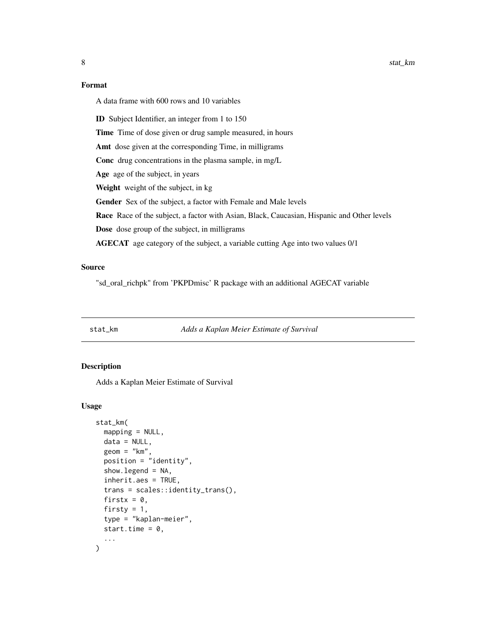<span id="page-7-0"></span>8 stat\_km

#### Format

A data frame with 600 rows and 10 variables

ID Subject Identifier, an integer from 1 to 150

Time Time of dose given or drug sample measured, in hours

Amt dose given at the corresponding Time, in milligrams

Conc drug concentrations in the plasma sample, in mg/L

Age age of the subject, in years

Weight weight of the subject, in kg

Gender Sex of the subject, a factor with Female and Male levels

Race Race of the subject, a factor with Asian, Black, Caucasian, Hispanic and Other levels

Dose dose group of the subject, in milligrams

AGECAT age category of the subject, a variable cutting Age into two values 0/1

#### Source

"sd\_oral\_richpk" from 'PKPDmisc' R package with an additional AGECAT variable

#### <span id="page-7-1"></span>stat\_km *Adds a Kaplan Meier Estimate of Survival*

#### Description

Adds a Kaplan Meier Estimate of Survival

#### Usage

```
stat_km(
 mapping = NULL,
 data = NULL,
 geom = "km",position = "identity",
  show. legend = NA,
  inherit.aes = TRUE,
  trans = scales::identity_trans(),
  firstx = 0,
  firsty = 1,
  type = "kaplan-meier",
  start.time = 0,
  ...
)
```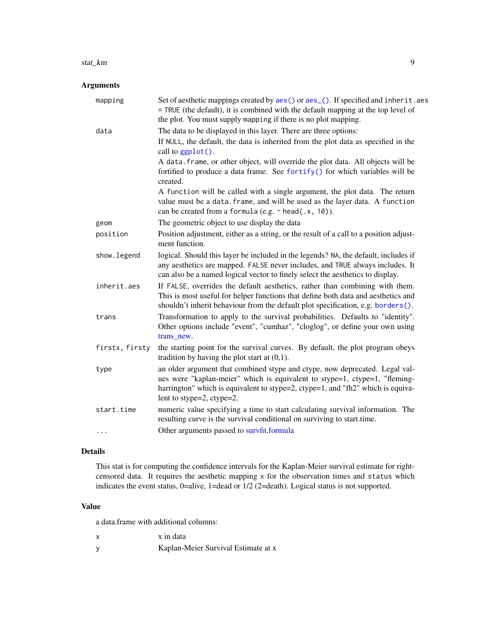#### <span id="page-8-0"></span>stat\_km 9

#### Arguments

| mapping        | Set of aesthetic mappings created by aes() or aes_(). If specified and inherit.aes<br>= TRUE (the default), it is combined with the default mapping at the top level of<br>the plot. You must supply mapping if there is no plot mapping.                                 |
|----------------|---------------------------------------------------------------------------------------------------------------------------------------------------------------------------------------------------------------------------------------------------------------------------|
| data           | The data to be displayed in this layer. There are three options:<br>If NULL, the default, the data is inherited from the plot data as specified in the<br>call to ggplot().                                                                                               |
|                | A data. frame, or other object, will override the plot data. All objects will be<br>fortified to produce a data frame. See fortify() for which variables will be<br>created.                                                                                              |
|                | A function will be called with a single argument, the plot data. The return<br>value must be a data. frame, and will be used as the layer data. A function<br>can be created from a formula (e.g. $\sim$ head(.x, 10)).                                                   |
| geom           | The geometric object to use display the data                                                                                                                                                                                                                              |
| position       | Position adjustment, either as a string, or the result of a call to a position adjust-<br>ment function.                                                                                                                                                                  |
| show.legend    | logical. Should this layer be included in the legends? NA, the default, includes if<br>any aesthetics are mapped. FALSE never includes, and TRUE always includes. It<br>can also be a named logical vector to finely select the aesthetics to display.                    |
| inherit.aes    | If FALSE, overrides the default aesthetics, rather than combining with them.<br>This is most useful for helper functions that define both data and aesthetics and<br>shouldn't inherit behaviour from the default plot specification, e.g. borders().                     |
| trans          | Transformation to apply to the survival probabilities. Defaults to "identity".<br>Other options include "event", "cumhaz", "cloglog", or define your own using<br>trans new.                                                                                              |
| firstx, firsty | the starting point for the survival curves. By default, the plot program obeys<br>tradition by having the plot start at $(0,1)$ .                                                                                                                                         |
| type           | an older argument that combined stype and ctype, now deprecated. Legal val-<br>ues were "kaplan-meier" which is equivalent to stype=1, ctype=1, "fleming-<br>harrington" which is equivalent to stype=2, ctype=1, and "fh2" which is equiva-<br>lent to stype=2, ctype=2. |
| start.time     | numeric value specifying a time to start calculating survival information. The<br>resulting curve is the survival conditional on surviving to start.time.                                                                                                                 |
| $\cdots$       | Other arguments passed to survfit.formula                                                                                                                                                                                                                                 |

#### Details

This stat is for computing the confidence intervals for the Kaplan-Meier survival estimate for rightcensored data. It requires the aesthetic mapping x for the observation times and status which indicates the event status, 0=alive, 1=dead or 1/2 (2=death). Logical status is not supported.

#### Value

a data.frame with additional columns:

y Kaplan-Meier Survival Estimate at x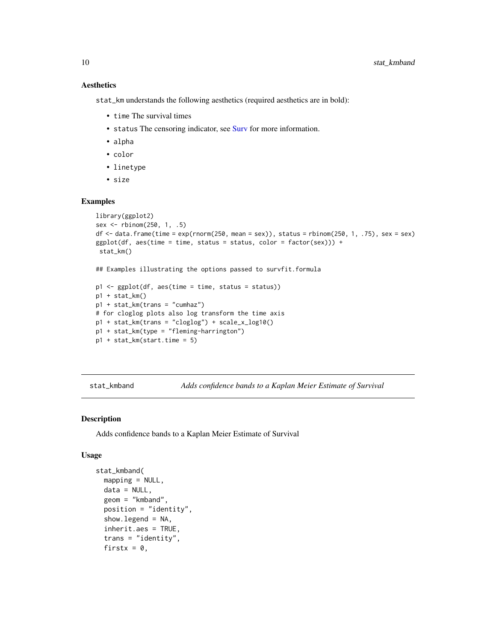#### **Aesthetics**

stat\_km understands the following aesthetics (required aesthetics are in bold):

- time The survival times
- status The censoring indicator, see [Surv](#page-0-0) for more information.
- alpha
- color
- linetype
- size

#### Examples

```
library(ggplot2)
sex <- rbinom(250, 1, .5)
df <- data.frame(time = exp(rnorm(250, mean = sex)), status = rbinom(250, 1, .75), sex = sex)
ggplot(df, aes(time = time, status = status, color = factor(se)) +stat_km()
## Examples illustrating the options passed to survfit.formula
p1 \leftarrow ggplot(df, aes(time = time, status = status))p1 + stat_km()
p1 + stat_km(trans = "cumhaz")
# for cloglog plots also log transform the time axis
p1 + stat_km(trans = "cloglog") + scale_x_log10()p1 + stat_km(type = "fleming-harrington")
p1 + stat_km(start.time = 5)
```
<span id="page-9-1"></span>stat\_kmband *Adds confidence bands to a Kaplan Meier Estimate of Survival*

#### Description

Adds confidence bands to a Kaplan Meier Estimate of Survival

#### Usage

```
stat_kmband(
  mapping = NULL,data = NULL,geom = "kmband",
 position = "identity",
  show. legend = NA,
  inherit.aes = TRUE,
  trans = "identity",
  firstx = 0,
```
<span id="page-9-0"></span>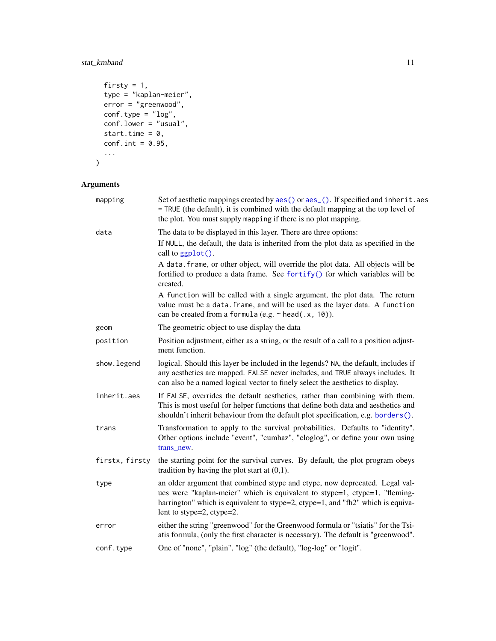### <span id="page-10-0"></span>stat\_kmband 11

```
firsty = 1,
 type = "kaplan-meier",
 error = "greenwood",
  conf.type = "log",conf.lower = "usual",
 start.time = 0,
 conf.int = 0.95,
  ...
\mathcal{L}
```

| mapping        | Set of aesthetic mappings created by aes() or aes_(). If specified and inherit.aes<br>= TRUE (the default), it is combined with the default mapping at the top level of<br>the plot. You must supply mapping if there is no plot mapping.                                 |
|----------------|---------------------------------------------------------------------------------------------------------------------------------------------------------------------------------------------------------------------------------------------------------------------------|
| data           | The data to be displayed in this layer. There are three options:                                                                                                                                                                                                          |
|                | If NULL, the default, the data is inherited from the plot data as specified in the<br>call to ggplot().                                                                                                                                                                   |
|                | A data. frame, or other object, will override the plot data. All objects will be<br>fortified to produce a data frame. See fortify() for which variables will be<br>created.                                                                                              |
|                | A function will be called with a single argument, the plot data. The return<br>value must be a data. frame, and will be used as the layer data. A function<br>can be created from a formula (e.g. $\sim$ head(.x, 10)).                                                   |
| geom           | The geometric object to use display the data                                                                                                                                                                                                                              |
| position       | Position adjustment, either as a string, or the result of a call to a position adjust-<br>ment function.                                                                                                                                                                  |
| show. legend   | logical. Should this layer be included in the legends? NA, the default, includes if<br>any aesthetics are mapped. FALSE never includes, and TRUE always includes. It<br>can also be a named logical vector to finely select the aesthetics to display.                    |
| inherit.aes    | If FALSE, overrides the default aesthetics, rather than combining with them.<br>This is most useful for helper functions that define both data and aesthetics and<br>shouldn't inherit behaviour from the default plot specification, e.g. borders().                     |
| trans          | Transformation to apply to the survival probabilities. Defaults to "identity".<br>Other options include "event", "cumhaz", "cloglog", or define your own using<br>trans new.                                                                                              |
| firstx, firsty | the starting point for the survival curves. By default, the plot program obeys<br>tradition by having the plot start at $(0,1)$ .                                                                                                                                         |
| type           | an older argument that combined stype and ctype, now deprecated. Legal val-<br>ues were "kaplan-meier" which is equivalent to stype=1, ctype=1, "fleming-<br>harrington" which is equivalent to stype=2, ctype=1, and "fh2" which is equiva-<br>lent to stype=2, ctype=2. |
| error          | either the string "greenwood" for the Greenwood formula or "tsiatis" for the Tsi-<br>atis formula, (only the first character is necessary). The default is "greenwood".                                                                                                   |
| conf.type      | One of "none", "plain", "log" (the default), "log-log" or "logit".                                                                                                                                                                                                        |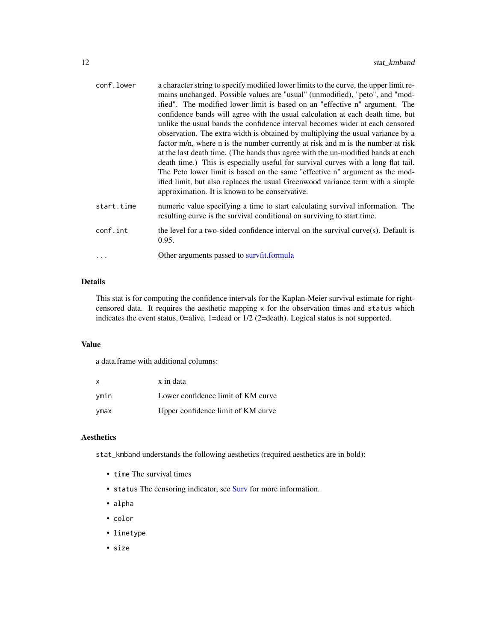<span id="page-11-0"></span>

| conf.lower | a character string to specify modified lower limits to the curve, the upper limit re-<br>mains unchanged. Possible values are "usual" (unmodified), "peto", and "mod-<br>ified". The modified lower limit is based on an "effective n" argument. The<br>confidence bands will agree with the usual calculation at each death time, but<br>unlike the usual bands the confidence interval becomes wider at each censored<br>observation. The extra width is obtained by multiplying the usual variance by a<br>factor m/n, where n is the number currently at risk and m is the number at risk<br>at the last death time. (The bands thus agree with the un-modified bands at each<br>death time.) This is especially useful for survival curves with a long flat tail.<br>The Peto lower limit is based on the same "effective n" argument as the mod-<br>ified limit, but also replaces the usual Greenwood variance term with a simple<br>approximation. It is known to be conservative. |
|------------|--------------------------------------------------------------------------------------------------------------------------------------------------------------------------------------------------------------------------------------------------------------------------------------------------------------------------------------------------------------------------------------------------------------------------------------------------------------------------------------------------------------------------------------------------------------------------------------------------------------------------------------------------------------------------------------------------------------------------------------------------------------------------------------------------------------------------------------------------------------------------------------------------------------------------------------------------------------------------------------------|
| start.time | numeric value specifying a time to start calculating survival information. The<br>resulting curve is the survival conditional on surviving to start time.                                                                                                                                                                                                                                                                                                                                                                                                                                                                                                                                                                                                                                                                                                                                                                                                                                  |
| conf.int   | the level for a two-sided confidence interval on the survival curve $(s)$ . Default is<br>0.95.                                                                                                                                                                                                                                                                                                                                                                                                                                                                                                                                                                                                                                                                                                                                                                                                                                                                                            |
|            | Other arguments passed to survfit.formula                                                                                                                                                                                                                                                                                                                                                                                                                                                                                                                                                                                                                                                                                                                                                                                                                                                                                                                                                  |

#### Details

This stat is for computing the confidence intervals for the Kaplan-Meier survival estimate for rightcensored data. It requires the aesthetic mapping x for the observation times and status which indicates the event status, 0=alive, 1=dead or 1/2 (2=death). Logical status is not supported.

#### Value

a data.frame with additional columns:

| x    | x in data                          |
|------|------------------------------------|
| ymin | Lower confidence limit of KM curve |
| ymax | Upper confidence limit of KM curve |

#### Aesthetics

stat\_kmband understands the following aesthetics (required aesthetics are in bold):

- time The survival times
- status The censoring indicator, see [Surv](#page-0-0) for more information.
- alpha
- color
- linetype
- size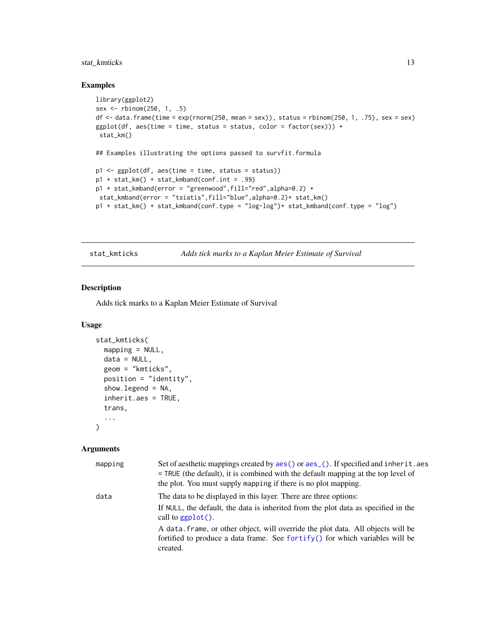#### <span id="page-12-0"></span>stat\_kmticks 13

#### Examples

```
library(ggplot2)
sex <- rbinom(250, 1, .5)
df <- data.frame(time = exp(rnorm(250, mean = sex)), status = rbinom(250, 1, .75), sex = sex)
ggplot(df, aes(time = time, status = status, color = factor(se)) +stat_km()
## Examples illustrating the options passed to survfit.formula
p1 \leftarrow ggplot(df, aes(time = time, status = status))p1 + stat_km() + stat_kmband(conf.int = .99)p1 + stat_kmband(error = "greenwood",fill="red",alpha=0.2) +
stat_kmband(error = "tsiatis",fill="blue",alpha=0.2)+ stat_km()
p1 + stat_km() + stat_kmband(conf.type = "log-log")+ stat_kmband(conf.type = "log")
```
<span id="page-12-1"></span>stat\_kmticks *Adds tick marks to a Kaplan Meier Estimate of Survival*

#### Description

Adds tick marks to a Kaplan Meier Estimate of Survival

#### Usage

```
stat_kmticks(
 mapping = NULL,data = NULL,geom = "kmticks",
 position = "identity",
  show.legend = NA,
  inherit.aes = TRUE,
  trans,
  ...
)
```

| mapping | Set of aesthetic mappings created by aes () or aes (). If specified and inherit. aes<br>$=$ TRUE (the default), it is combined with the default mapping at the top level of<br>the plot. You must supply mapping if there is no plot mapping. |
|---------|-----------------------------------------------------------------------------------------------------------------------------------------------------------------------------------------------------------------------------------------------|
| data    | The data to be displayed in this layer. There are three options:<br>If NULL, the default, the data is inherited from the plot data as specified in the<br>call to $ggplot()$ .                                                                |
|         | A data frame, or other object, will override the plot data. All objects will be<br>fortified to produce a data frame. See fortify() for which variables will be<br>created.                                                                   |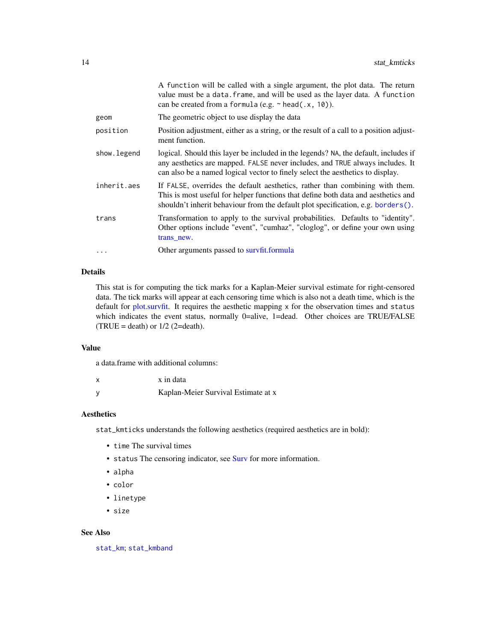<span id="page-13-0"></span>

|              | A function will be called with a single argument, the plot data. The return<br>value must be a data. frame, and will be used as the layer data. A function<br>can be created from a formula (e.g. $\sim$ head(.x, 10)).                                   |
|--------------|-----------------------------------------------------------------------------------------------------------------------------------------------------------------------------------------------------------------------------------------------------------|
| geom         | The geometric object to use display the data                                                                                                                                                                                                              |
| position     | Position adjustment, either as a string, or the result of a call to a position adjust-<br>ment function.                                                                                                                                                  |
| show. legend | logical. Should this layer be included in the legends? NA, the default, includes if<br>any aesthetics are mapped. FALSE never includes, and TRUE always includes. It<br>can also be a named logical vector to finely select the aesthetics to display.    |
| inherit.aes  | If FALSE, overrides the default aesthetics, rather than combining with them.<br>This is most useful for helper functions that define both data and aesthetics and<br>shouldn't inherit behaviour from the default plot specification, e.g. borders $()$ . |
| trans        | Transformation to apply to the survival probabilities. Defaults to "identity".<br>Other options include "event", "cumhaz", "cloglog", or define your own using<br>trans new.                                                                              |
| .            | Other arguments passed to survfit.formula                                                                                                                                                                                                                 |

#### Details

This stat is for computing the tick marks for a Kaplan-Meier survival estimate for right-censored data. The tick marks will appear at each censoring time which is also not a death time, which is the default for [plot.survfit.](#page-0-0) It requires the aesthetic mapping x for the observation times and status which indicates the event status, normally 0=alive, 1=dead. Other choices are TRUE/FALSE  $(TRUE = death)$  or  $1/2$  (2=death).

#### Value

a data.frame with additional columns:

| X | x in data                           |
|---|-------------------------------------|
| У | Kaplan-Meier Survival Estimate at x |

#### Aesthetics

stat\_kmticks understands the following aesthetics (required aesthetics are in bold):

- time The survival times
- status The censoring indicator, see [Surv](#page-0-0) for more information.
- alpha
- color
- linetype
- size

#### See Also

[stat\\_km](#page-7-1); [stat\\_kmband](#page-9-1)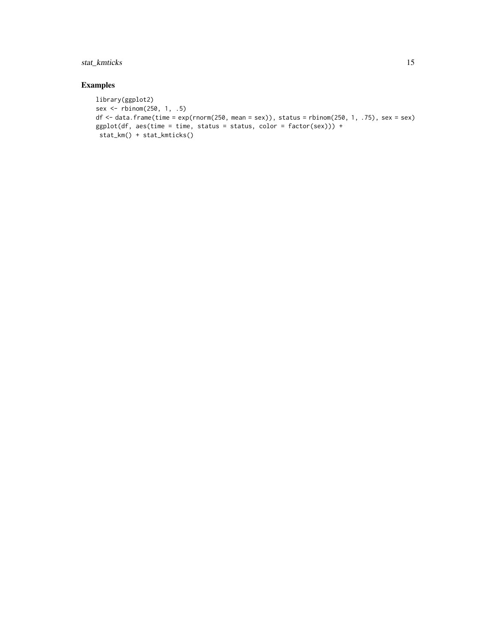### stat\_kmticks 15

#### Examples

```
library(ggplot2)
sex <- rbinom(250, 1, .5)
df <- data.frame(time = exp(rnorm(250, mean = sex)), status = rbinom(250, 1, .75), sex = sex)
ggplot(df, aes(time = time, status = status, color = factor(sex))) +
stat_km() + stat_kmticks()
```